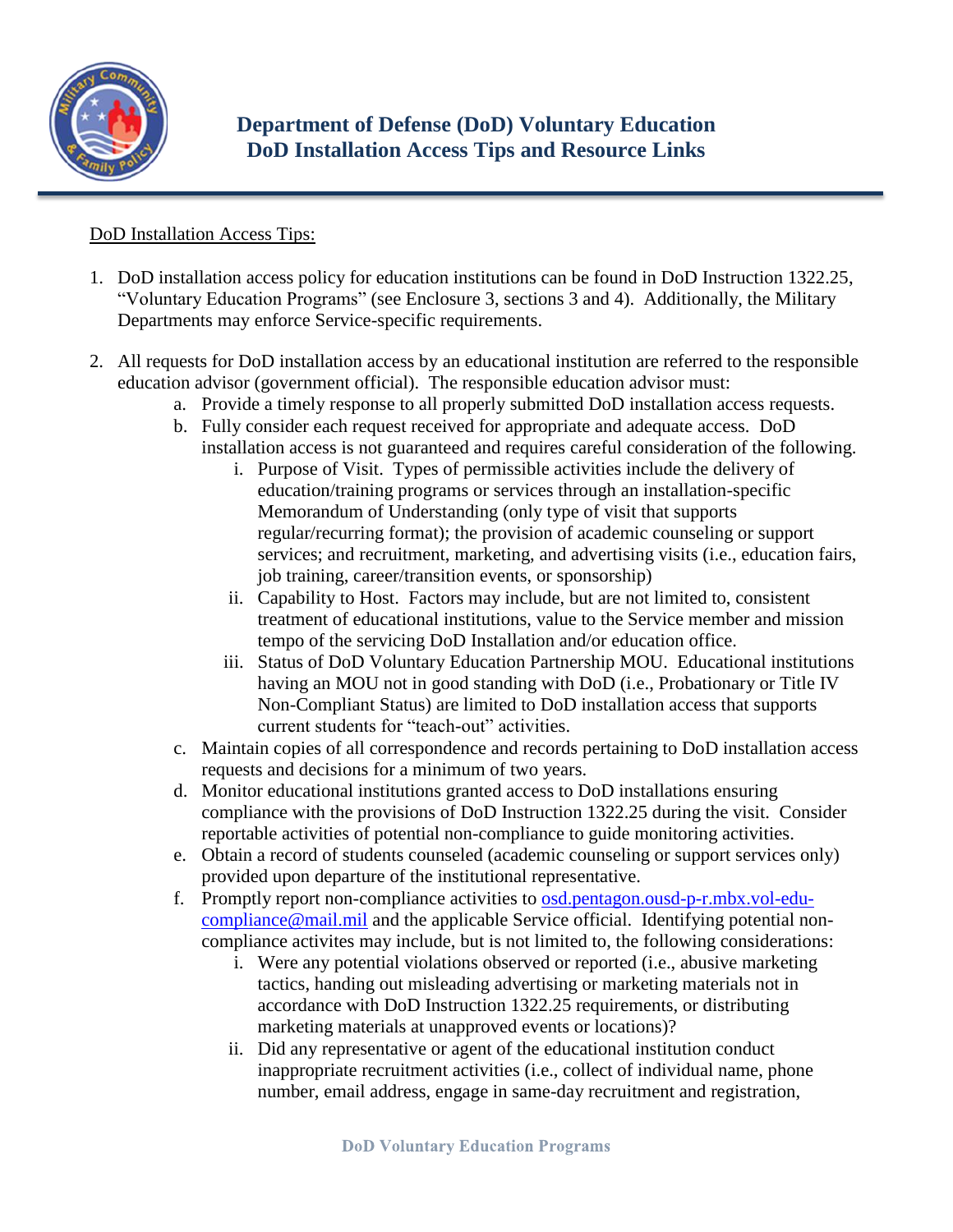

## DoD Installation Access Tips:

- 1. DoD installation access policy for education institutions can be found in DoD Instruction 1322.25, "Voluntary Education Programs" (see Enclosure 3, sections 3 and 4). Additionally, the Military Departments may enforce Service-specific requirements.
- 2. All requests for DoD installation access by an educational institution are referred to the responsible education advisor (government official). The responsible education advisor must:
	- a. Provide a timely response to all properly submitted DoD installation access requests.
	- b. Fully consider each request received for appropriate and adequate access. DoD installation access is not guaranteed and requires careful consideration of the following.
		- i. Purpose of Visit. Types of permissible activities include the delivery of education/training programs or services through an installation-specific Memorandum of Understanding (only type of visit that supports regular/recurring format); the provision of academic counseling or support services; and recruitment, marketing, and advertising visits (i.e., education fairs, job training, career/transition events, or sponsorship)
		- ii. Capability to Host. Factors may include, but are not limited to, consistent treatment of educational institutions, value to the Service member and mission tempo of the servicing DoD Installation and/or education office.
		- iii. Status of DoD Voluntary Education Partnership MOU. Educational institutions having an MOU not in good standing with DoD (i.e., Probationary or Title IV Non-Compliant Status) are limited to DoD installation access that supports current students for "teach-out" activities.
	- c. Maintain copies of all correspondence and records pertaining to DoD installation access requests and decisions for a minimum of two years.
	- d. Monitor educational institutions granted access to DoD installations ensuring compliance with the provisions of DoD Instruction 1322.25 during the visit. Consider reportable activities of potential non-compliance to guide monitoring activities.
	- e. Obtain a record of students counseled (academic counseling or support services only) provided upon departure of the institutional representative.
	- f. Promptly report non-compliance activities to [osd.pentagon.ousd-p-r.mbx.vol-edu](mailto:osd.pentagon.ousd-p-r.mbx.vol-edu-compliance@mail.mil)[compliance@mail.mil](mailto:osd.pentagon.ousd-p-r.mbx.vol-edu-compliance@mail.mil) and the applicable Service official. Identifying potential noncompliance activites may include, but is not limited to, the following considerations:
		- i. Were any potential violations observed or reported (i.e., abusive marketing tactics, handing out misleading advertising or marketing materials not in accordance with DoD Instruction 1322.25 requirements, or distributing marketing materials at unapproved events or locations)?
		- ii. Did any representative or agent of the educational institution conduct inappropriate recruitment activities (i.e., collect of individual name, phone number, email address, engage in same-day recruitment and registration,